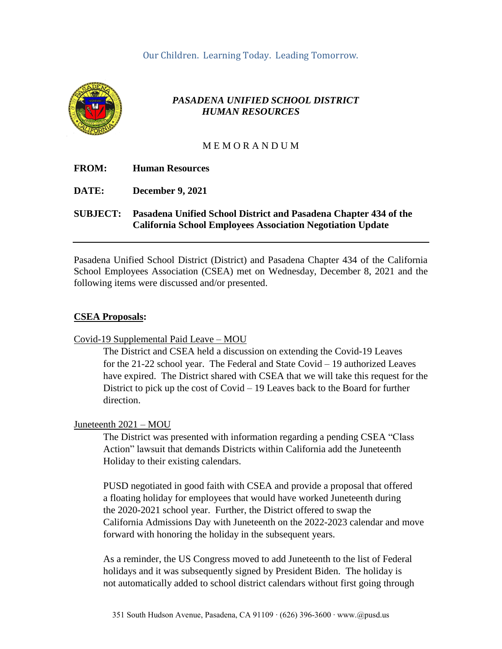

# *PASADENA UNIFIED SCHOOL DISTRICT HUMAN RESOURCES*

#### M E M O R A N D U M

| <b>FROM:</b>    | <b>Human Resources</b>                                                                                                                |
|-----------------|---------------------------------------------------------------------------------------------------------------------------------------|
| DATE:           | <b>December 9, 2021</b>                                                                                                               |
| <b>SUBJECT:</b> | Pasadena Unified School District and Pasadena Chapter 434 of the<br><b>California School Employees Association Negotiation Update</b> |

Pasadena Unified School District (District) and Pasadena Chapter 434 of the California School Employees Association (CSEA) met on Wednesday, December 8, 2021 and the following items were discussed and/or presented.

#### **CSEA Proposals:**

Covid-19 Supplemental Paid Leave – MOU

The District and CSEA held a discussion on extending the Covid-19 Leaves for the 21-22 school year. The Federal and State Covid – 19 authorized Leaves have expired. The District shared with CSEA that we will take this request for the District to pick up the cost of Covid – 19 Leaves back to the Board for further direction.

#### Juneteenth 2021 – MOU

The District was presented with information regarding a pending CSEA "Class Action" lawsuit that demands Districts within California add the Juneteenth Holiday to their existing calendars.

PUSD negotiated in good faith with CSEA and provide a proposal that offered a floating holiday for employees that would have worked Juneteenth during the 2020-2021 school year. Further, the District offered to swap the California Admissions Day with Juneteenth on the 2022-2023 calendar and move forward with honoring the holiday in the subsequent years.

As a reminder, the US Congress moved to add Juneteenth to the list of Federal holidays and it was subsequently signed by President Biden. The holiday is not automatically added to school district calendars without first going through